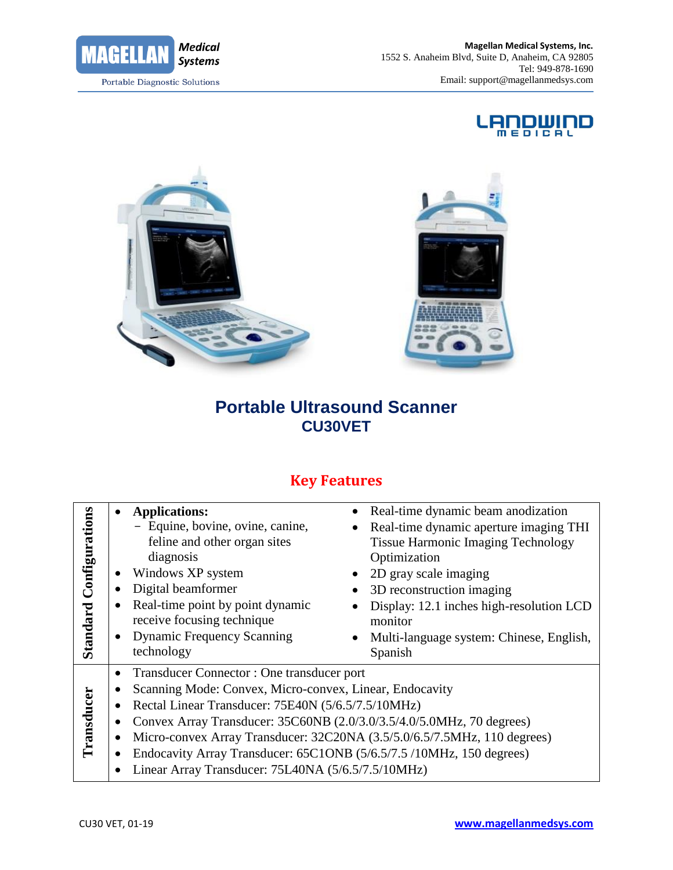





# **Portable Ultrasound Scanner CU30VET**

## **Key Features**

| Configurations<br>Standard | • Applications:<br>- Equine, bovine, ovine, canine,<br>feline and other organ sites<br>diagnosis<br>Windows XP system<br>٠<br>Digital beamformer<br>Real-time point by point dynamic<br>receive focusing technique<br><b>Dynamic Frequency Scanning</b><br>$\bullet$                                                                                                                                                                                                                                                       | • Real-time dynamic beam anodization<br>Real-time dynamic aperture imaging THI<br><b>Tissue Harmonic Imaging Technology</b><br>Optimization<br>2D gray scale imaging<br>3D reconstruction imaging<br>Display: 12.1 inches high-resolution LCD<br>monitor<br>Multi-language system: Chinese, English, |
|----------------------------|----------------------------------------------------------------------------------------------------------------------------------------------------------------------------------------------------------------------------------------------------------------------------------------------------------------------------------------------------------------------------------------------------------------------------------------------------------------------------------------------------------------------------|------------------------------------------------------------------------------------------------------------------------------------------------------------------------------------------------------------------------------------------------------------------------------------------------------|
| ransducer                  | technology<br>Spanish<br>Transducer Connector: One transducer port<br>$\bullet$<br>Scanning Mode: Convex, Micro-convex, Linear, Endocavity<br>Rectal Linear Transducer: 75E40N (5/6.5/7.5/10MHz)<br>$\bullet$<br>Convex Array Transducer: 35C60NB (2.0/3.0/3.5/4.0/5.0MHz, 70 degrees)<br>$\bullet$<br>Micro-convex Array Transducer: 32C20NA (3.5/5.0/6.5/7.5MHz, 110 degrees)<br>Endocavity Array Transducer: 65C1ONB (5/6.5/7.5 /10MHz, 150 degrees)<br>$\bullet$<br>Linear Array Transducer: 75L40NA (5/6.5/7.5/10MHz) |                                                                                                                                                                                                                                                                                                      |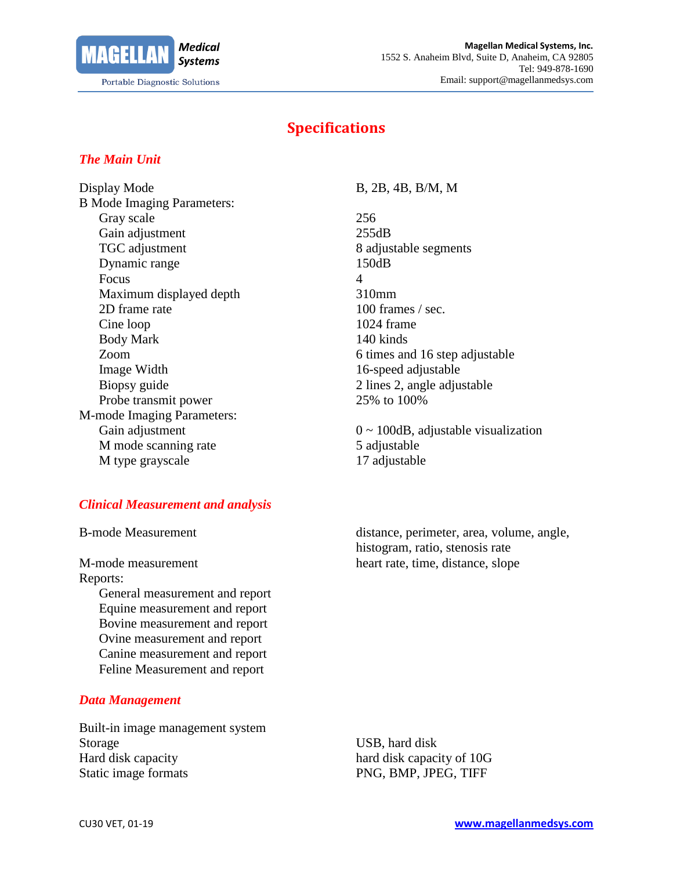

### **Specifications**

#### *The Main Unit*

Display Mode B, 2B, 4B, B/M, M B Mode Imaging Parameters: Gray scale 256 Gain adjustment 255dB TGC adjustment 8 adjustable segments Dynamic range 150dB Focus 4 Maximum displayed depth 310mm 2D frame rate 100 frames / sec. Cine loop 1024 frame Body Mark 140 kinds Image Width 16-speed adjustable Biopsy guide 2 lines 2, angle adjustable Probe transmit power 25% to 100% M-mode Imaging Parameters: M mode scanning rate 5 adjustable M type grayscale 17 adjustable

#### *Clinical Measurement and analysis*

M-mode measurement heart rate, time, distance, slope Reports: General measurement and report Equine measurement and report Bovine measurement and report Ovine measurement and report Canine measurement and report Feline Measurement and report

#### *Data Management*

Built-in image management system Storage USB, hard disk Hard disk capacity hard disk capacity of 10G Static image formats PNG, BMP, JPEG, TIFF

Zoom 6 times and 16 step adjustable

Gain adjustment 0 ~ 100dB, adjustable visualization

B-mode Measurement distance, perimeter, area, volume, angle, histogram, ratio, stenosis rate